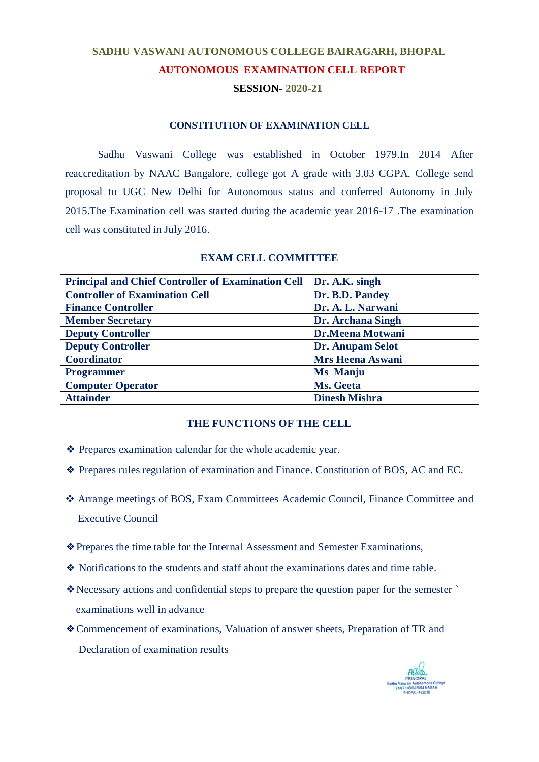# **SADHU VASWANI AUTONOMOUS COLLEGE BAIRAGARH, BHOPAL AUTONOMOUS EXAMINATION CELL REPORT**

# **SESSION- 2020-21**

# **CONSTITUTION OF EXAMINATION CELL**

Sadhu Vaswani College was established in October 1979.In 2014 After reaccreditation by NAAC Bangalore, college got A grade with 3.03 CGPA. College send proposal to UGC New Delhi for Autonomous status and conferred Autonomy in July 2015.The Examination cell was started during the academic year 2016-17 .The examination cell was constituted in July 2016.

| <b>Principal and Chief Controller of Examination Cell</b> | Dr. A.K. singh          |
|-----------------------------------------------------------|-------------------------|
| <b>Controller of Examination Cell</b>                     | Dr. B.D. Pandey         |
| <b>Finance Controller</b>                                 | Dr. A. L. Narwani       |
| <b>Member Secretary</b>                                   | Dr. Archana Singh       |
| <b>Deputy Controller</b>                                  | Dr.Meena Motwani        |
| <b>Deputy Controller</b>                                  | <b>Dr. Anupam Selot</b> |
| <b>Coordinator</b>                                        | <b>Mrs Heena Aswani</b> |
| <b>Programmer</b>                                         | <b>Ms Manju</b>         |
| <b>Computer Operator</b>                                  | Ms. Geeta               |
| <b>Attainder</b>                                          | <b>Dinesh Mishra</b>    |

## **EXAM CELL COMMITTEE**

## **THE FUNCTIONS OF THE CELL**

- ❖ Prepares examination calendar for the whole academic year.
- ❖ Prepares rules regulation of examination and Finance. Constitution of BOS, AC and EC.
- Arrange meetings of BOS, Exam Committees Academic Council, Finance Committee and Executive Council
- ❖Prepares the time table for the Internal Assessment and Semester Examinations,
- ❖ Notifications to the students and staff about the examinations dates and time table.
- ❖Necessary actions and confidential steps to prepare the question paper for the semester ` examinations well in advance
- ❖Commencement of examinations, Valuation of answer sheets, Preparation of TR and Declaration of examination results

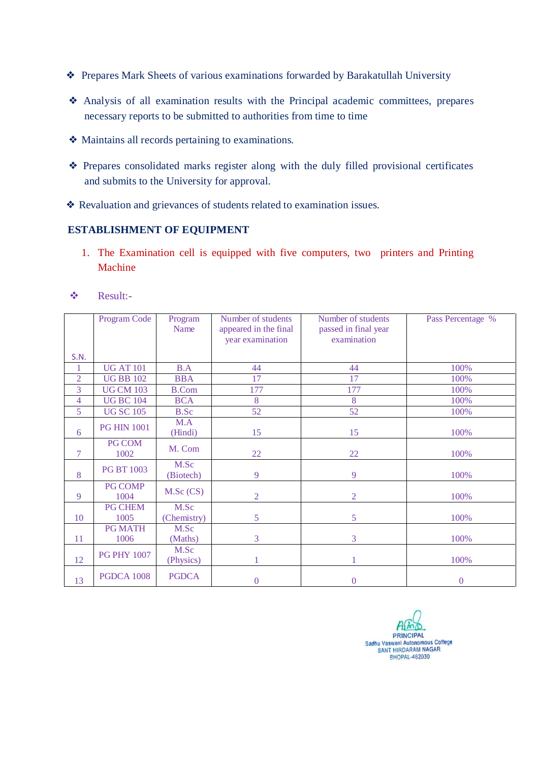- ❖ Prepares Mark Sheets of various examinations forwarded by Barakatullah University
- ❖ Analysis of all examination results with the Principal academic committees, prepares necessary reports to be submitted to authorities from time to time
- ❖ Maintains all records pertaining to examinations.
- ❖ Prepares consolidated marks register along with the duly filled provisional certificates and submits to the University for approval.
- ❖ Revaluation and grievances of students related to examination issues.

# **ESTABLISHMENT OF EQUIPMENT**

1. The Examination cell is equipped with five computers, two printers and Printing Machine

|                | Program Code           | Program<br>Name   | Number of students<br>appeared in the final | Number of students<br>passed in final year | Pass Percentage % |
|----------------|------------------------|-------------------|---------------------------------------------|--------------------------------------------|-------------------|
|                |                        |                   | year examination                            | examination                                |                   |
|                |                        |                   |                                             |                                            |                   |
| <b>S.N.</b>    |                        |                   |                                             |                                            |                   |
| 1              | <b>UG AT 101</b>       | B.A               | 44                                          | 44                                         | 100%              |
| $\overline{2}$ | <b>UG BB 102</b>       | <b>BBA</b>        | 17                                          | 17                                         | 100%              |
| 3              | <b>UG CM 103</b>       | <b>B.Com</b>      | 177                                         | 177                                        | 100%              |
| 4              | <b>UG BC 104</b>       | <b>BCA</b>        | 8                                           | 8                                          | 100%              |
| 5              | <b>UG SC 105</b>       | <b>B.Sc</b>       | 52                                          | 52                                         | 100%              |
| 6              | <b>PG HIN 1001</b>     | M.A               | 15                                          | 15                                         |                   |
|                |                        | (Hindi)           |                                             |                                            | 100%              |
| $\tau$         | <b>PG COM</b><br>1002  | M. Com            | 22                                          | 22                                         | 100%              |
| 8              | <b>PG BT 1003</b>      | M.Sc<br>(Biotech) | 9                                           | 9                                          | 100%              |
| 9              | <b>PG COMP</b><br>1004 | M.Sc(CS)          | $\overline{2}$                              | $\overline{2}$                             | 100%              |
|                | <b>PG CHEM</b>         | M.Sc              |                                             |                                            |                   |
| 10             | 1005                   | (Chemistry)       | 5                                           | 5                                          | 100%              |
|                | <b>PG MATH</b>         | M.Sc              |                                             |                                            |                   |
| 11             | 1006                   | (Maths)           | 3                                           | 3                                          | 100%              |
| 12             | <b>PG PHY 1007</b>     | M.Sc<br>(Physics) |                                             | 1                                          | 100%              |
| 13             | <b>PGDCA 1008</b>      | <b>PGDCA</b>      | $\mathbf{0}$                                | $\overline{0}$                             | $\boldsymbol{0}$  |

Result:-

 $H$   $\infty$ **PRINCIPAL** Sadhu Vaswani Autonomous College<br>SANT HIRDARAM NAGAR<br>BHOPAL-462030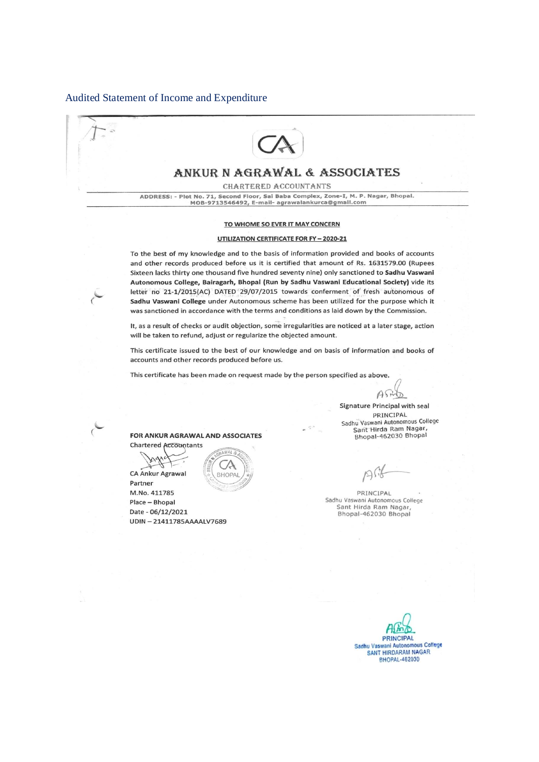#### Audited Statement of Income and Expenditure



# ANKUR N AGRAWAL & ASSOCIATES

**CHARTERED ACCOUNTANTS** 

ADDRESS: - Plot No. 71, Second Floor, Sai Baba Complex, Zone-I, M. P. Nagar, Bhopal. MOB-9713546492, E-mail- agrawalankurca@gmail.com

#### TO WHOME SO EVER IT MAY CONCERN

#### **UTILIZATION CERTIFICATE FOR FY - 2020-21**

To the best of my knowledge and to the basis of information provided and books of accounts and other records produced before us it is certified that amount of Rs. 1631579.00 (Rupees Sixteen lacks thirty one thousand five hundred seventy nine) only sanctioned to Sadhu Vaswani Autonomous College, Bairagarh, Bhopal (Run by Sadhu Vaswani Educational Society) vide its letter no 21-1/2015(AC) DATED 29/07/2015 towards conferment of fresh autonomous of Sadhu Vaswani College under Autonomous scheme has been utilized for the purpose which it was sanctioned in accordance with the terms and conditions as laid down by the Commission.

It, as a result of checks or audit objection, some irregularities are noticed at a later stage, action will be taken to refund, adjust or regularize the objected amount.

This certificate issued to the best of our knowledge and on basis of information and books of accounts and other records produced before us.

This certificate has been made on request made by the person specified as above.

 $A\$ ひ

Signature Principal with seal PRINCIPAL Sadhu Vaswani Autonomous College Sant Hirda Ram Nagar,<br>Bhopal-462030 Bhopal

PRINCIPAL Sadhu Vaswani Autonomous College Sant Hirda Ram Nagar Bhopal-462030 Bhopal

**PRINCIPAL** Sadhu Vaswani Autonomous College SANT HIRDARAM NAGAR **BHOPAL-462030** 

#### FOR ANKUR AGRAWAL AND ASSOCIATES

 $(A$ 

**Chartered Accountants** CA Ankur Agrawal

 $\epsilon$ 

**BHOPAL** Partner M.No. 411785 Place - Bhopal Date - 06/12/2021 UDIN-21411785AAAALV7689